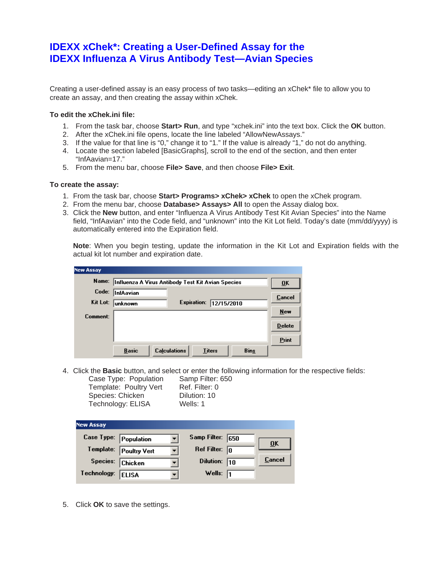## **IDEXX xChek\*: Creating a User-Defined Assay for the IDEXX Influenza A Virus Antibody Test—Avian Species**

Creating a user-defined assay is an easy process of two tasks—editing an xChek\* file to allow you to create an assay, and then creating the assay within xChek.

## **To edit the xChek.ini file:**

- 1. From the task bar, choose **Start> Run**, and type "xchek.ini" into the text box. Click the **OK** button.
- 2. After the xChek.ini file opens, locate the line labeled "AllowNewAssays."
- 3. If the value for that line is "0," change it to "1." If the value is already "1," do not do anything.
- 4. Locate the section labeled [BasicGraphs], scroll to the end of the section, and then enter "InfAavian=17."
- 5. From the menu bar, choose **File> Save**, and then choose **File> Exit**.

## **To create the assay:**

- 1. From the task bar, choose **Start> Programs> xChek> xChek** to open the xChek program.
- 2. From the menu bar, choose **Database> Assays> All** to open the Assay dialog box.
- 3. Click the **New** button, and enter "Influenza A Virus Antibody Test Kit Avian Species" into the Name field, "InfAavian" into the Code field, and "unknown" into the Kit Lot field. Today's date (mm/dd/yyyy) is automatically entered into the Expiration field.

**Note**: When you begin testing, update the information in the Kit Lot and Expiration fields with the actual kit lot number and expiration date.

| <b>New Assay</b> |                                                                     |               |
|------------------|---------------------------------------------------------------------|---------------|
| Name:            | Influenza A Virus Antibody Test Kit Avian Species                   | ŪK            |
| Code:            | InfAavian                                                           | Cancel        |
| Kit Lot:         | Expiration:<br>12/15/2010<br>lunknown                               |               |
| Comment:         |                                                                     | <b>New</b>    |
|                  |                                                                     | <b>Delete</b> |
|                  |                                                                     | Print         |
|                  | <b>Calculations</b><br><b>Basic</b><br><b>Titers</b><br><b>Bins</b> |               |

4. Click the **Basic** button, and select or enter the following information for the respective fields:

Case Type: Population Samp Filter: 650 Template: Poultry Vert Ref. Filter: 0 Species: Chicken Dilution: 10 Technology: ELISA Wells: 1

| <b>New Assay</b>      |                        |                         |                           |
|-----------------------|------------------------|-------------------------|---------------------------|
| Case Type: Population |                        | Samp Filter: 650        | $\overline{\mathbf{0}}$ K |
|                       | Template: Poultry Vert | Ref Filter: $\boxed{0}$ |                           |
| Species: Chicken      |                        | Dilution: 10            | Cancel                    |
| Technology:           | <b>ELISA</b>           | Wells: $\sqrt{1}$       |                           |

5. Click **OK** to save the settings.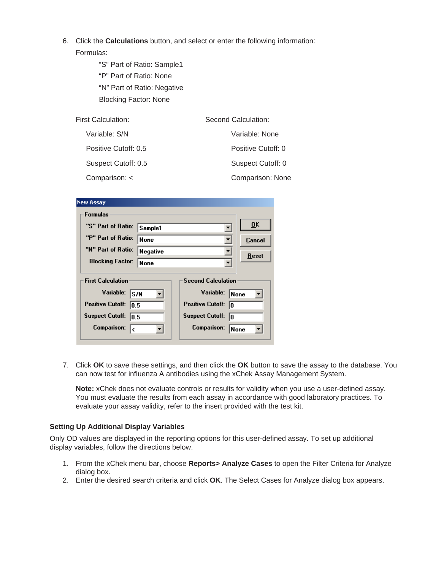- 6. Click the **Calculations** button, and select or enter the following information: Formulas:
	- "S" Part of Ratio: Sample1 "P" Part of Ratio: None "N" Part of Ratio: Negative Blocking Factor: None

| First Calculation:   | Second Calculation: |  |
|----------------------|---------------------|--|
| Variable: S/N        | Variable: None      |  |
| Positive Cutoff: 0.5 | Positive Cutoff: 0  |  |
| Suspect Cutoff: 0.5  | Suspect Cutoff: 0   |  |
| Comparison: <        | Comparison: None    |  |

| <b>New Assay</b>                |          |                               |               |  |  |  |  |
|---------------------------------|----------|-------------------------------|---------------|--|--|--|--|
| <b>Formulas</b>                 |          |                               |               |  |  |  |  |
| "S" Part of Ratio:              | Sample1  |                               | QK            |  |  |  |  |
| "P" Part of Ratio:              | None     |                               | <b>Cancel</b> |  |  |  |  |
| "N" Part of Ratio:              | Negative |                               | Reset         |  |  |  |  |
| <b>Blocking Factor:</b>         | None     |                               |               |  |  |  |  |
| <b>First Calculation</b>        |          | <b>Second Calculation</b>     |               |  |  |  |  |
| Variable:<br>ls/N               |          | Variable:                     | None          |  |  |  |  |
| <b>Positive Cutoff:</b><br>10.5 |          | <b>Positive Cutoff:</b><br>10 |               |  |  |  |  |
| <b>Suspect Cutoff:</b><br>10.5  |          | <b>Suspect Cutoff:</b><br>10  |               |  |  |  |  |
| <b>Comparison:</b><br>l٢        |          | <b>Comparison:</b><br> None   |               |  |  |  |  |
|                                 |          |                               |               |  |  |  |  |

7. Click **OK** to save these settings, and then click the **OK** button to save the assay to the database. You can now test for influenza A antibodies using the xChek Assay Management System.

**Note:** xChek does not evaluate controls or results for validity when you use a user-defined assay. You must evaluate the results from each assay in accordance with good laboratory practices. To evaluate your assay validity, refer to the insert provided with the test kit.

## **Setting Up Additional Display Variables**

Only OD values are displayed in the reporting options for this user-defined assay. To set up additional display variables, follow the directions below.

- 1. From the xChek menu bar, choose **Reports> Analyze Cases** to open the Filter Criteria for Analyze dialog box.
- 2. Enter the desired search criteria and click **OK**. The Select Cases for Analyze dialog box appears.